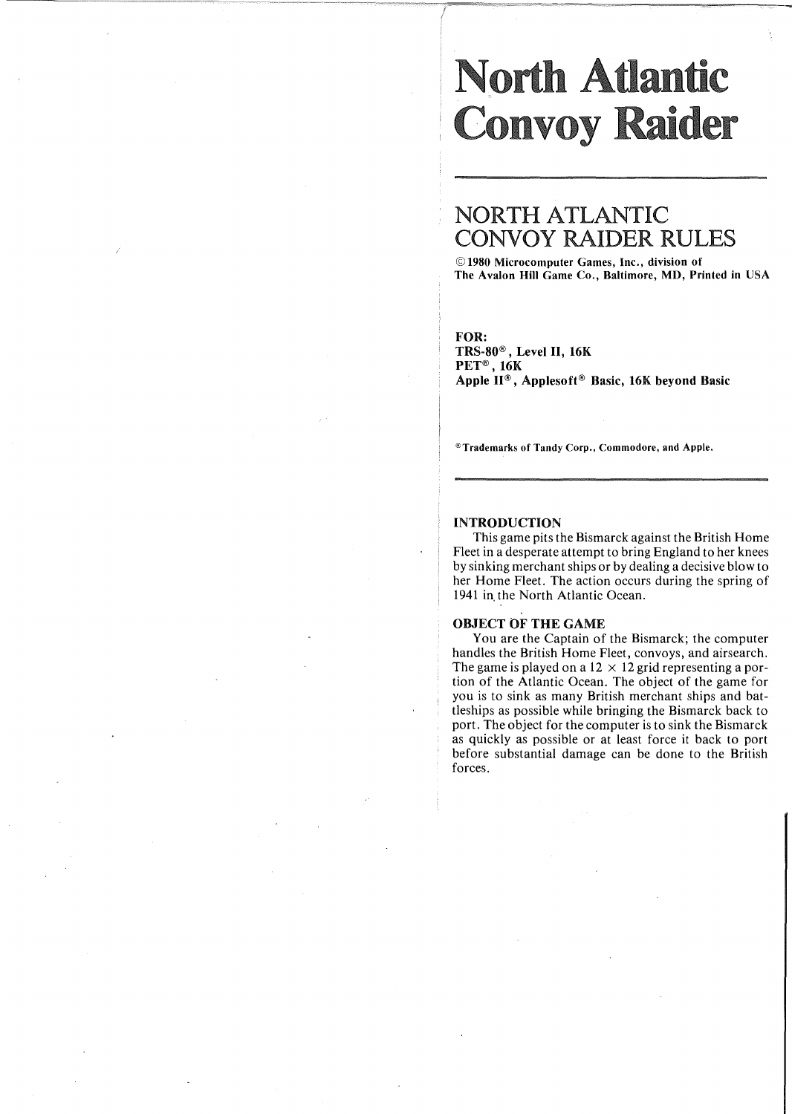# orth Atlantic **Convoy Raider**

# NORTH ATLANTIC CONVOY RAIDER RULES

© 1980 Microcomputer Games, Inc., division of The Avalon Hill Game Co., Baltimore, MD, Printed in USA

## FOR:

TRS-80®, Level II, 16K PET®, 16K Apple II® , Applesoft® Basic, 16K beyond Basic

®Trademarks of Tandy Corp., Commodore, and Apple.

#### INTRODUCTION

This game pits the Bismarck against the British Home Fleet in a desperate attempt to bring England to her knees by sinking merchant ships or by dealing a decisive blow to her Home Fleet. The action occurs during the spring of 1941 in, the North Atlantic Ocean.

#### OBJECT OF THE GAME

You are the Captain of the Bismarck; the computer handles the British Home Fleet, convoys, and airsearch. The game is played on a  $12 \times 12$  grid representing a portion of the Atlantic Ocean. The object of the game for you is to sink as many British merchant ships and battleships as possible while bringing the Bismarck back to port. The object for the computer is to sink the Bismarck as quickly as possible or at least force it back to port before substantial damage can be done to the British forces.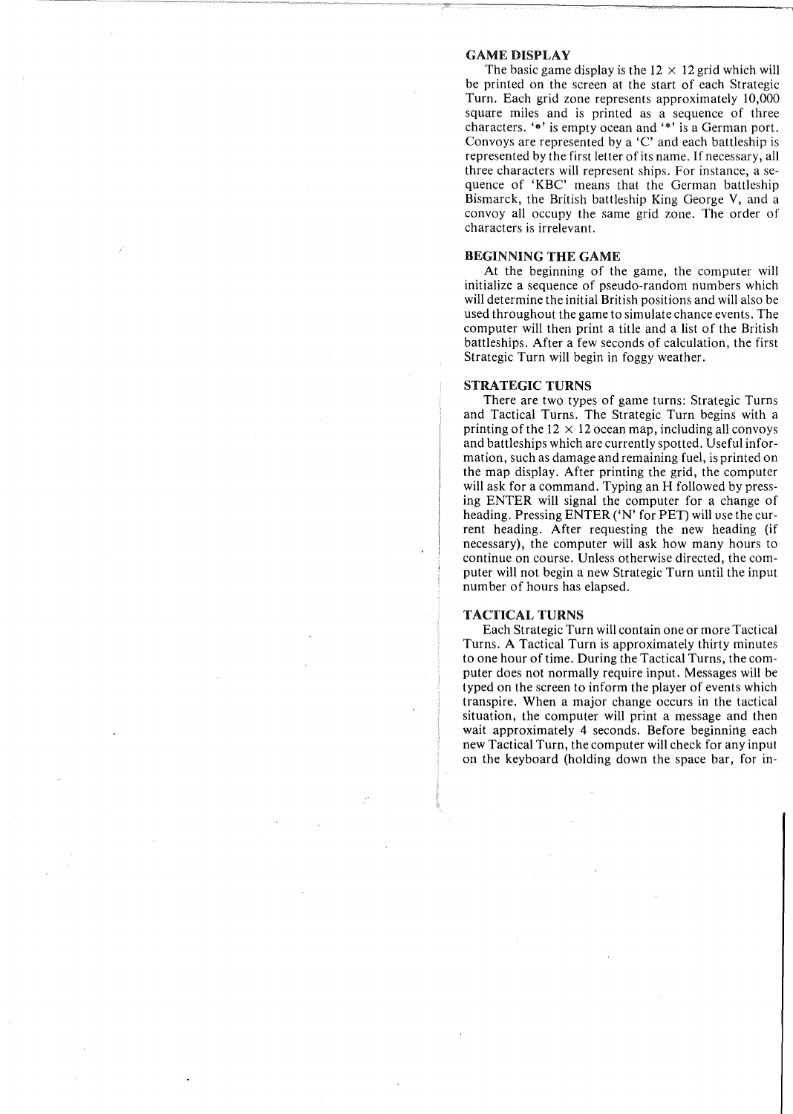#### GAME DISPLAY

The basic game display is the  $12 \times 12$  grid which will be printed on the screen at the start of each Strategic Turn. Each grid zone represents approximately 10,000 square miles and is printed as a sequence of three characters. ' $\bullet$ ' is empty ocean and '\*' is a German port. Convoys are represented by a 'C' and each battleship is represented by the first letter of its name. If necessary, all three characters will represent ships. For instance, a sequence of 'KBC' means that the German battleship Bismarck, the British battleship King George V, and a convoy all occupy the same grid zone. The order of characters is irrelevant.

#### BEGINNING THE GAME

At the beginning of the game, the computer will initialize a sequence of pseudo-random numbers which will determine the initial British positions and will also be used throughout the game to simulate chance events. The computer will then print a title and a list of the British battleships. After a few seconds of calculation, the first Strategic Turn will begin in foggy weather.

#### STRATEGIC TURNS

There are two types of game turns: Strategic Turns and Tactical Turns. The Strategic Turn begins with a printing of the  $12 \times 12$  ocean map, including all convoys and battleships which are currently spotted. Useful information, such as damage and remaining fuel, is printed on the map display. After printing the grid, the computer will ask for a command. Typing an H followed by pressing ENTER will signal the computer for a change of heading. Pressing ENTER ('N' for PET) will use the current heading. After requesting the new heading (if necessary), the computer will ask how many hours to continue on course. Unless otherwise directed, the computer will not begin a new Strategic Turn until the input number of hours has elapsed.

#### TACTICAL TURNS

Each Strategic Turn will contain one or more Tactical Turns. A Tactical Turn is approximately thirty minutes to one hour of time. During the Tactical Turns, the computer does not normally require input. Messages will be typed on the screen to inform the player of events which transpire. When a major change occurs in the tactical situation, the computer will print a message and then wait approximately 4 seconds. Before beginning each new Tactical Turn, the computer will check for any input on the keyboard (holding down the space bar, for in-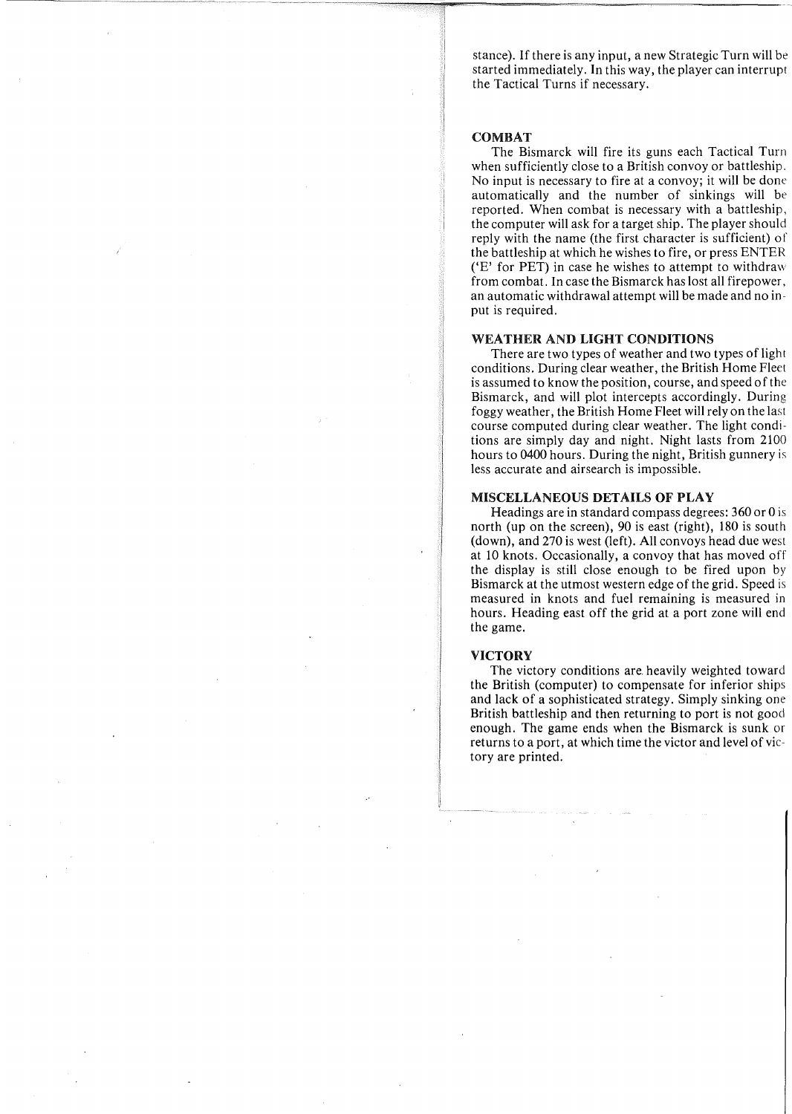stance). If there is any input, a new Strategic Turn will be started immediately. In this way, the player can interrupt the Tactical Turns if necessary.

#### COMBAT

The Bismarck will fire its guns each Tactical Turn when sufficiently close to a British convoy or battleship. No input is necessary to fire at a convoy; it will be done automatically and the number of sinkings will be reported. When combat is necessary with a battleship, the computer will ask for a target ship. The player should reply with the name (the first character is sufficient) of the battleship at which he wishes to fire, or press ENTER ('E' for PET) in case he wishes to attempt to withdraw from combat. In case the Bismarck has lost all firepower, an automatic withdrawal attempt will be made and no input is required.

#### WEATHER AND LIGHT CONDITIONS

There are two types of weather and two types of light conditions. During clear weather, the British Home Fleet is assumed to know the position, course, and speed of the Bismarck, and will plot intercepts accordingly. During foggy weather, the British Home Fleet will rely on the last course computed during clear weather. The light conditions are simply day and night. Night lasts from 2100 hours to 0400 hours. During the night, British gunnery is less accurate and airsearch is impossible.

#### MISCELLANEOUS DETAILS OF PLAY

Headings are in standard compass degrees: 360 or 0 is north (up on the screen), 90 is east (right), 180 is south (down), and 270 is west (left). All convoys head due west at 10 knots. Occasionally, a convoy that has moved off the display is still close enough to be fired upon by Bismarck at the utmost western edge of the grid. Speed is measured in knots and fuel remaining is measured in hours. Heading east off the grid at a port zone will end the game.

#### VICTORY

The victory conditions are. heavily weighted toward the British (computer) to compensate for inferior ships and lack of a sophisticated strategy. Simply sinking one British battleship and then returning to port is not good enough. The game ends when the Bismarck is sunk or returns to a port, at which time the victor and level of victory are printed.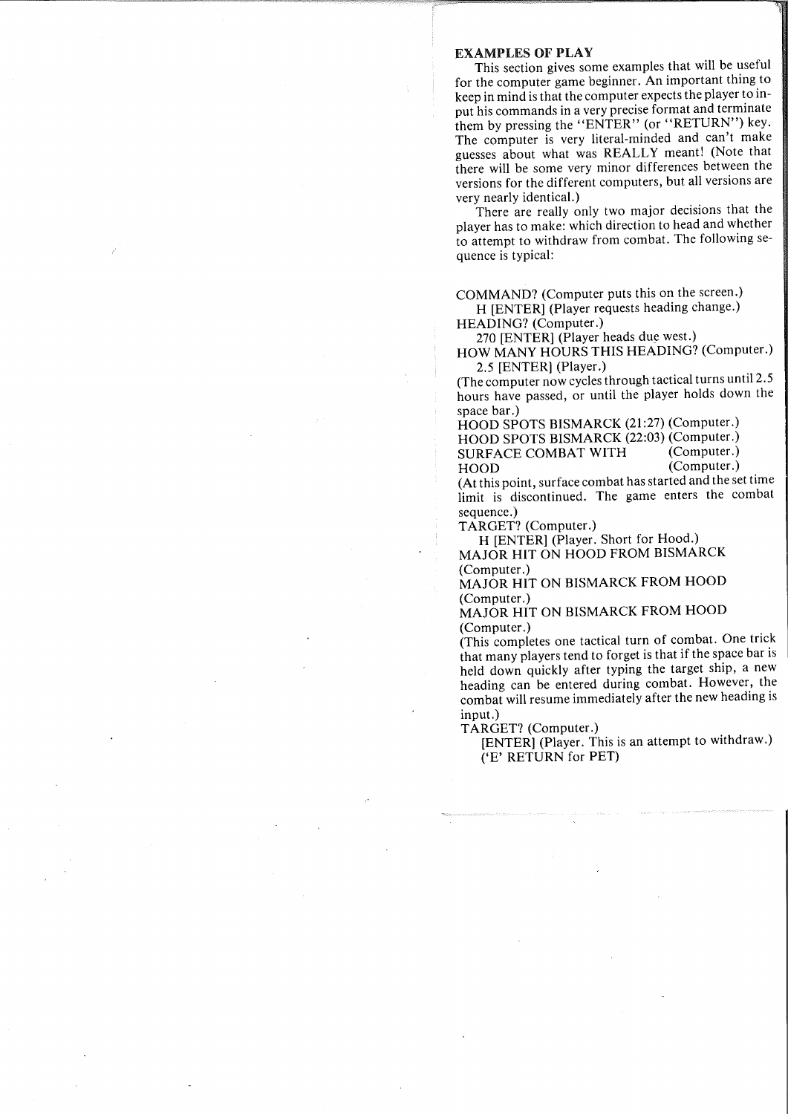#### EXAMPLES OF PLAY

This section gives some examples that will be useful for the computer game beginner. An important thing to keep in mind is that the computer expects the player to input his commands in a very precise format and terminate them by pressing the "ENTER" (or "RETURN") key. The computer is very literal-minded and can't make guesses about what was REALLY meant! (Note that there will be some very minor differences between the versions for the different computers, but all versions are very nearly identical.)

There are really only two major decisions that the player has to make: which direction to head and whether to attempt to withdraw from combat. The following sequence is typical:

COMMAND? (Computer puts this on the screen.) H [ENTER] (Player requests heading change.)

HEADING? (Computer.)

270 [ENTER] (Player heads due west.) HOW MANY HOURS THIS HEADING? (Computer.)

2.5 [ENTER] (Player.)

(The computer now cycles through tactical turns until 2.5 hours have passed, or until the player holds down the space bar.)

HOOD SPOTS BISMARCK (21:27) (Computer.) HOOD SPOTS BISMARCK (22:03) (Computer.)<br>SURFACE COMBAT WITH (Computer.) SURFACE COMBAT WITH HOOD (Computer.)

(At this point, surface combat has started and the set time limit is discontinued. The game enters the combat sequence.)

TARGET? (Computer.)

H [ENTER] (Player. Short for Hood.) MAJOR HIT ON HOOD FROM BISMARCK (Computer.)

MAJOR HIT ON BISMARCK FROM HOOD (Computer.)

MAJOR HIT ON BISMARCK FROM HOOD (Computer.)

(This completes one tactical turn of combat. One trick that many players tend to forget is that if the space bar is held down quickly after typing the target ship, a new heading can be entered during combat. However, the combat will resume immediately after the new heading is input.)

TARGET? (Computer.)

[ENTER] (Player. This is an attempt to withdraw.) ('E' RETURN for PET)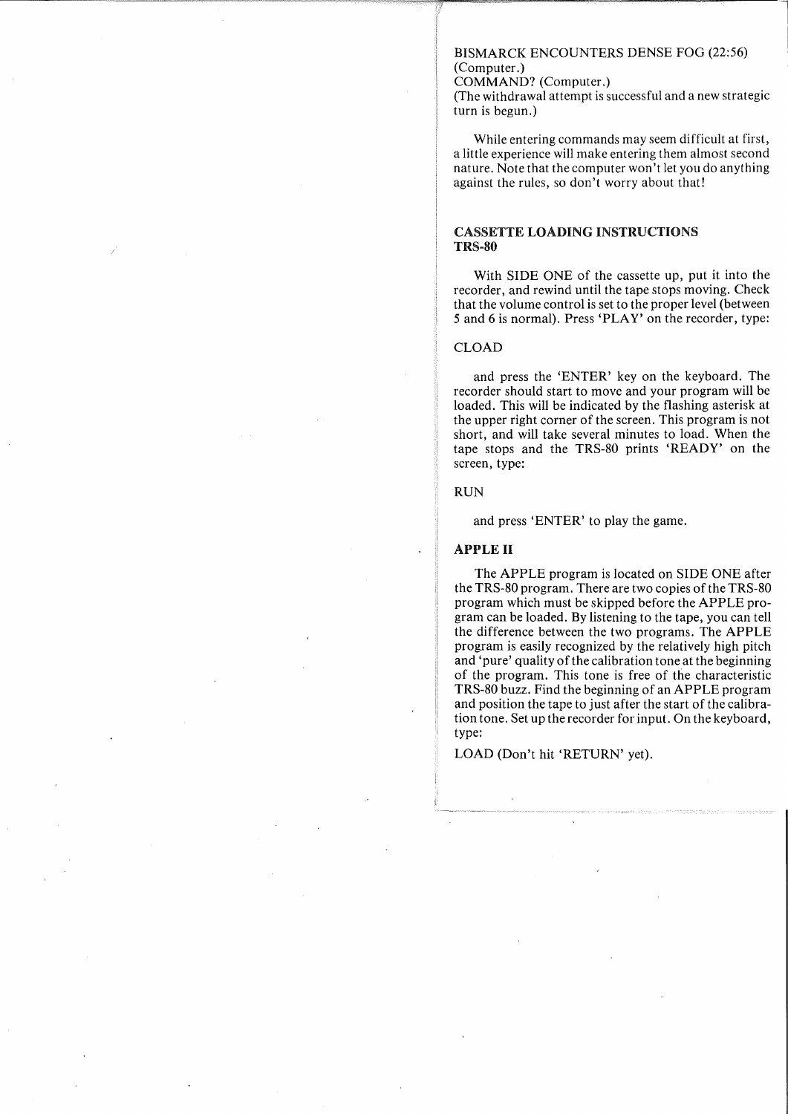#### BISMARCK ENCOUNTERS DENSE FOG (22:56) (Computer.)

#### COMMAND? (Computer.)

(The withdrawal attempt is successful and a new strategic turn is begun.)

While entering commands may seem difficult at first, a little experience will make entering them almost second nature. Note that the computer won't let you do anything against the rules, so don't worry about that!

#### CASSETTE LOADING INSTRUCTIONS TRS-80

With SIDE ONE of the cassette up, put it into the recorder, and rewind until the tape stops moving. Check that the volume control is set to the proper level (between 5 and 6 is normal). Press 'PLAY' on the recorder, type:

#### CLOAD

and press the 'ENTER' key on the keyboard. The recorder should start to move and your program will be loaded. This will be indicated by the flashing asterisk at the upper right corner of the screen. This program is not short, and will take several minutes to load. When the tape stops and the TRS-80 prints 'READY' on the screen, type:

#### RUN

and press 'ENTER' to play the game.

#### APPLE II

The APPLE program is located on SIDE ONE after the TRS-80 program. There are two copies of the TRS-80 program which must be skipped before the APPLE program can be loaded. By listening to the tape, you can tell the difference between the two programs. The APPLE program is easily recognized by the relatively high pitch and 'pure' quality of the calibration tone at the beginning of the program. This tone is free of the characteristic TRS-80 buzz. Find the beginning of an APPLE program and position the tape to just after the start of the calibration tone. Set up the recorder for input. On the keyboard, type:

LOAD (Don't hit 'RETURN' yet).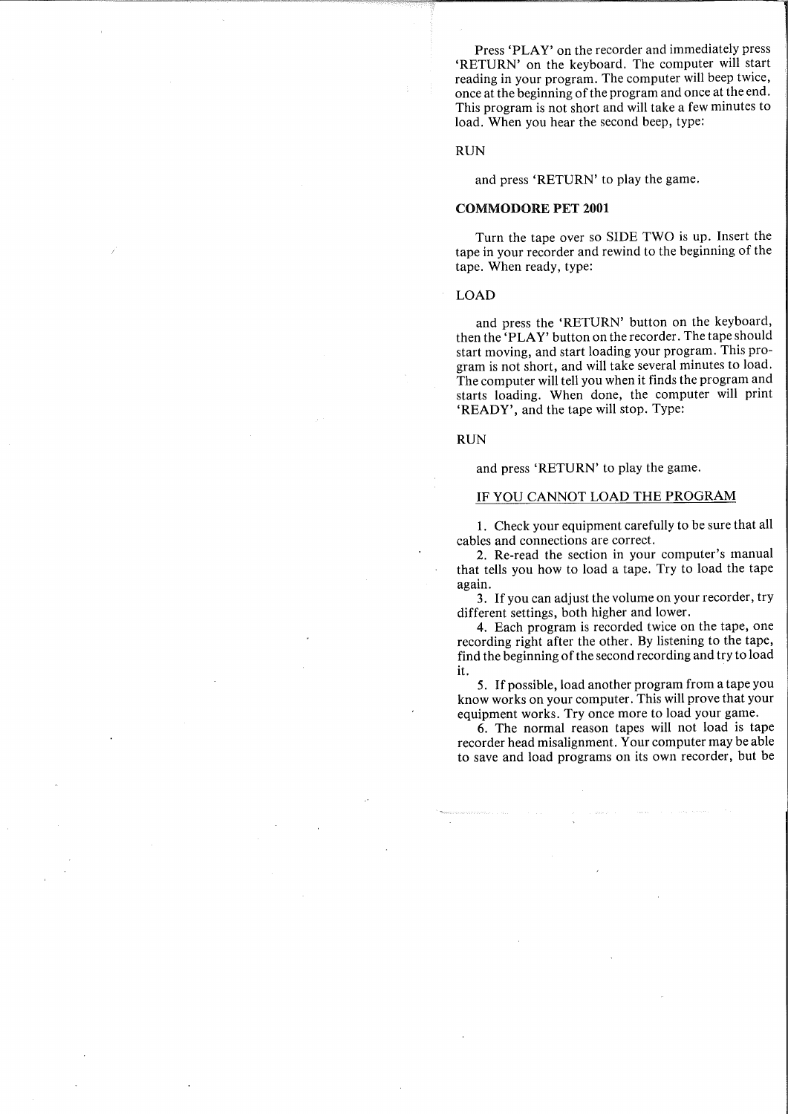Press 'PLAY' on the recorder and immediately press 'RETURN' on the keyboard. The computer will start reading in your program. The computer will beep twice, once at the beginning of the program and once at the end. This program is not short and will take a few minutes to load. When you hear the second beep, type:

#### RUN

and press 'RETURN' to play the game.

#### COMMODORE PET **2001**

Turn the tape over so SIDE TWO is up. Insert the tape in your recorder and rewind to the beginning of the tape. When ready, type:

LOAD

and press the 'RETURN' button on the keyboard, then the 'PLAY' button on the recorder. The tape should start moving, and start loading your program. This program is not short, and will take several minutes to load. The computer will tell you when it finds the program and starts loading. When done, the computer will print 'READY', and the tape will stop. Type:

RUN

and press 'RETURN' to play the game.

#### **IF** YOU CANNOT LOAD THE PROGRAM

1. Check your equipment carefully to be sure that all cables and connections are correct.

2. Re-read the section in your computer's manual that tells you how to load a tape. Try to load the tape again.

3. If you can adjust the volume on your recorder, try different settings, both higher and lower.

4. Each program is recorded twice on the tape, one recording right after the other. By listening to the tape, find the beginning of the second recording and try to load it.

5. If possible, load another program from a tape you know works on your computer. This will prove that your equipment works. Try once more to load your game.

6. The normal reason tapes will not load is tape recorder head misalignment. Your computer may be able to save and load programs on its own recorder, but be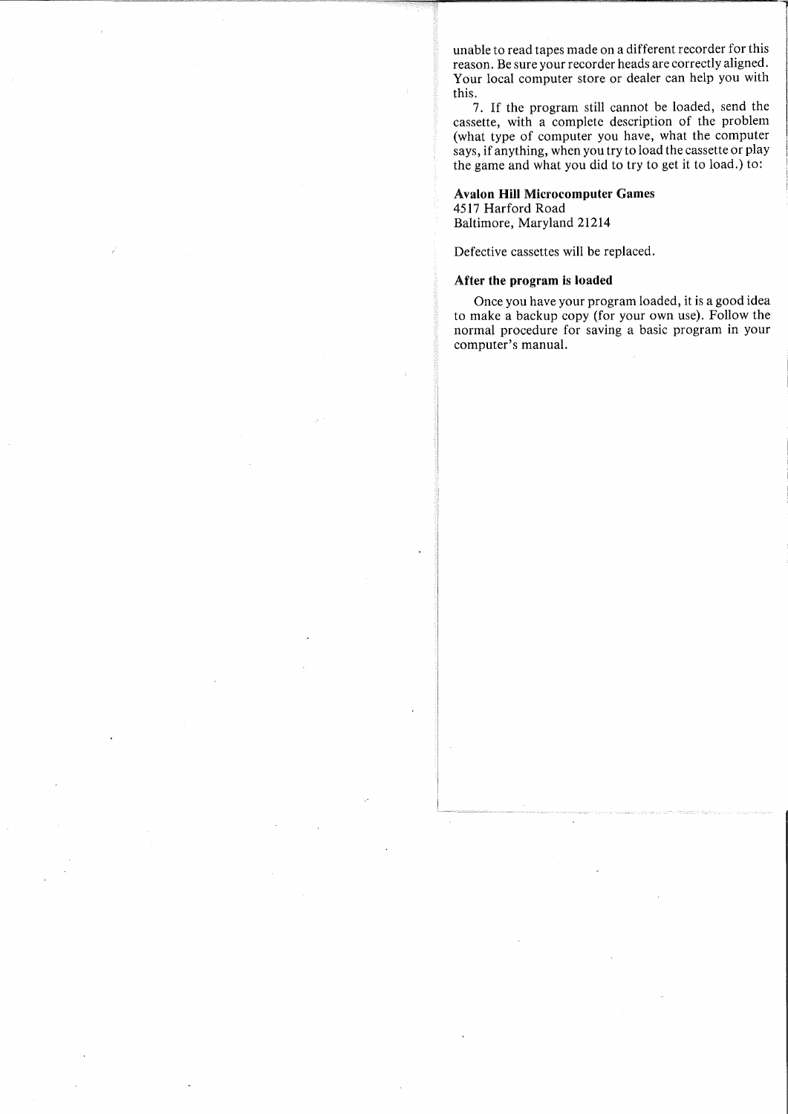unable to read tapes made on a different recorder for this reason. Be sure your recorder heads are correctly aligned. Your local computer store or dealer can help you with this.

7. If the program still cannot be loaded, send the cassette, with a complete description of the problem (what type of computer you have, what the computer says, if anything, when you try to load the cassette or play the game and what you did to try to get it to load.) to:

#### **Avalon Hill Microcomputer** Games

4517 Harford Road Baltimore, Maryland 21214

Defective cassettes will be replaced.

#### **After the program is loaded**

Once you have your program loaded, it is a good idea to make a backup copy (for your own use). Follow the normal procedure for saving a basic program in your computer's manual.